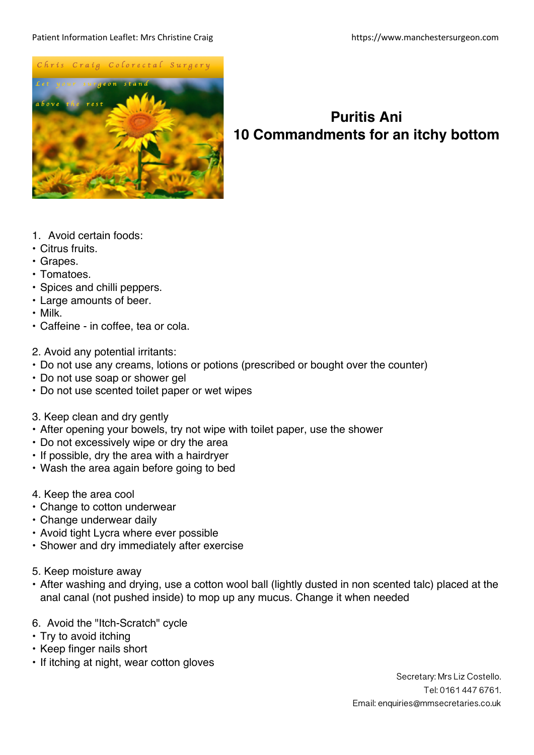## Patient Information Leaflet: Mrs Christine Craig https://www.manchestersurgeon.com



## **Puritis Ani 10 Commandments for an itchy bottom**

- 1. Avoid certain foods:
- Citrus fruits.
- Grapes.
- Tomatoes.
- Spices and chilli peppers.
- Large amounts of beer.
- Milk.
- Caffeine in coffee, tea or cola.
- 2. Avoid any potential irritants:
- Do not use any creams, lotions or potions (prescribed or bought over the counter)
- Do not use soap or shower gel
- Do not use scented toilet paper or wet wipes
- 3. Keep clean and dry gently
- After opening your bowels, try not wipe with toilet paper, use the shower
- Do not excessively wipe or dry the area
- If possible, dry the area with a hairdryer
- Wash the area again before going to bed
- 4. Keep the area cool
- Change to cotton underwear
- Change underwear daily
- Avoid tight Lycra where ever possible
- Shower and dry immediately after exercise
- 5. Keep moisture away
- After washing and drying, use a cotton wool ball (lightly dusted in non scented talc) placed at the anal canal (not pushed inside) to mop up any mucus. Change it when needed
- 6. Avoid the "Itch-Scratch" cycle
- Try to avoid itching
- Keep finger nails short
- If itching at night, wear cotton gloves